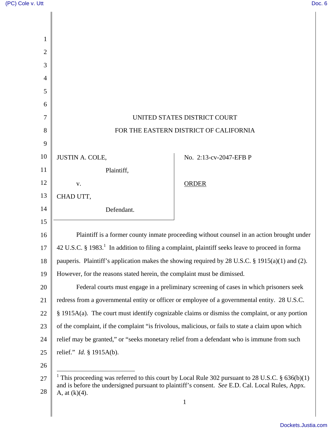| 1              |                                                                                                                                                                                                                                    |                        |
|----------------|------------------------------------------------------------------------------------------------------------------------------------------------------------------------------------------------------------------------------------|------------------------|
| $\overline{2}$ |                                                                                                                                                                                                                                    |                        |
| 3              |                                                                                                                                                                                                                                    |                        |
| 4              |                                                                                                                                                                                                                                    |                        |
| 5              |                                                                                                                                                                                                                                    |                        |
| 6              |                                                                                                                                                                                                                                    |                        |
| 7              | UNITED STATES DISTRICT COURT                                                                                                                                                                                                       |                        |
| 8              | FOR THE EASTERN DISTRICT OF CALIFORNIA                                                                                                                                                                                             |                        |
| 9              |                                                                                                                                                                                                                                    |                        |
| 10             | <b>JUSTIN A. COLE,</b>                                                                                                                                                                                                             | No. 2:13-cv-2047-EFB P |
| 11             | Plaintiff,                                                                                                                                                                                                                         |                        |
| 12             | V.                                                                                                                                                                                                                                 | <b>ORDER</b>           |
| 13             | CHAD UTT,                                                                                                                                                                                                                          |                        |
| 14             | Defendant.                                                                                                                                                                                                                         |                        |
| 15             |                                                                                                                                                                                                                                    |                        |
| 16             | Plaintiff is a former county inmate proceeding without counsel in an action brought under                                                                                                                                          |                        |
| 17             | 42 U.S.C. § 1983. <sup>1</sup> In addition to filing a complaint, plaintiff seeks leave to proceed in forma                                                                                                                        |                        |
| 18             | pauperis. Plaintiff's application makes the showing required by 28 U.S.C. § 1915(a)(1) and (2).                                                                                                                                    |                        |
| 19             | However, for the reasons stated herein, the complaint must be dimissed.                                                                                                                                                            |                        |
| 20             | Federal courts must engage in a preliminary screening of cases in which prisoners seek                                                                                                                                             |                        |
| 21             | redress from a governmental entity or officer or employee of a governmental entity. 28 U.S.C.                                                                                                                                      |                        |
| 22             | $§$ 1915A(a). The court must identify cognizable claims or dismiss the complaint, or any portion                                                                                                                                   |                        |
| 23             | of the complaint, if the complaint "is frivolous, malicious, or fails to state a claim upon which                                                                                                                                  |                        |
| 24             | relief may be granted," or "seeks monetary relief from a defendant who is immune from such                                                                                                                                         |                        |
| 25             | relief." <i>Id.</i> § 1915A(b).                                                                                                                                                                                                    |                        |
| 26             |                                                                                                                                                                                                                                    |                        |
| 27<br>28       | <sup>1</sup> This proceeding was referred to this court by Local Rule 302 pursuant to 28 U.S.C. § 636(b)(1)<br>and is before the undersigned pursuant to plaintiff's consent. See E.D. Cal. Local Rules, Appx.<br>A, at $(k)(4)$ . |                        |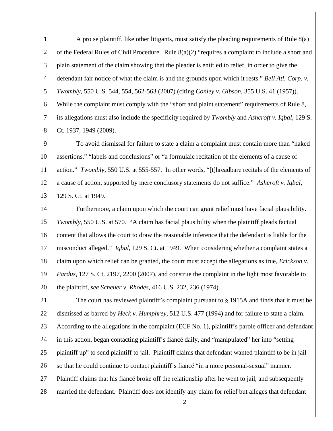1 2 3 4 5 6 7 8 A pro se plaintiff, like other litigants, must satisfy the pleading requirements of Rule 8(a) of the Federal Rules of Civil Procedure. Rule 8(a)(2) "requires a complaint to include a short and plain statement of the claim showing that the pleader is entitled to relief, in order to give the defendant fair notice of what the claim is and the grounds upon which it rests." *Bell Atl. Corp. v. Twombly*, 550 U.S. 544, 554, 562-563 (2007) (citing *Conley v. Gibson*, 355 U.S. 41 (1957)). While the complaint must comply with the "short and plaint statement" requirements of Rule 8, its allegations must also include the specificity required by *Twombly* and *Ashcroft v. Iqbal*, 129 S. Ct. 1937, 1949 (2009).

9 10 11 12 13 To avoid dismissal for failure to state a claim a complaint must contain more than "naked assertions," "labels and conclusions" or "a formulaic recitation of the elements of a cause of action." *Twombly*, 550 U.S. at 555-557. In other words, "[t]hreadbare recitals of the elements of a cause of action, supported by mere conclusory statements do not suffice." *Ashcroft v. Iqbal*, 129 S. Ct. at 1949.

14 15 16 17 18 19 20 Furthermore, a claim upon which the court can grant relief must have facial plausibility. *Twombly*, 550 U.S. at 570. "A claim has facial plausibility when the plaintiff pleads factual content that allows the court to draw the reasonable inference that the defendant is liable for the misconduct alleged." *Iqbal*, 129 S. Ct. at 1949. When considering whether a complaint states a claim upon which relief can be granted, the court must accept the allegations as true, *Erickson v. Pardus*, 127 S. Ct. 2197, 2200 (2007), and construe the complaint in the light most favorable to the plaintiff, *see Scheuer v. Rhodes*, 416 U.S. 232, 236 (1974).

21 22 23 24 25 26 27 28 The court has reviewed plaintiff's complaint pursuant to § 1915A and finds that it must be dismissed as barred by *Heck v. Humphrey*, 512 U.S. 477 (1994) and for failure to state a claim. According to the allegations in the complaint (ECF No. 1), plaintiff's parole officer and defendant in this action, began contacting plaintiff's fiancé daily, and "manipulated" her into "setting plaintiff up" to send plaintiff to jail. Plaintiff claims that defendant wanted plaintiff to be in jail so that he could continue to contact plaintiff's fiancé "in a more personal-sexual" manner. Plaintiff claims that his fiancé broke off the relationship after he went to jail, and subsequently married the defendant. Plaintiff does not identify any claim for relief but alleges that defendant

2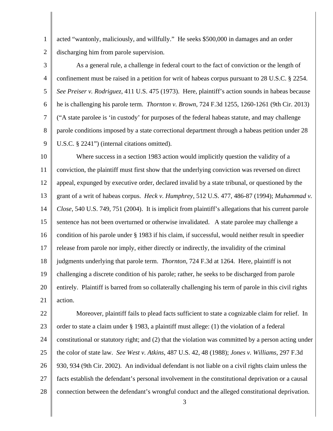1 2 acted "wantonly, maliciously, and willfully." He seeks \$500,000 in damages and an order discharging him from parole supervision.

3

4 5 6 7 8 9 As a general rule, a challenge in federal court to the fact of conviction or the length of confinement must be raised in a petition for writ of habeas corpus pursuant to 28 U.S.C. § 2254. *See Preiser v. Rodriguez*, 411 U.S. 475 (1973). Here, plaintiff's action sounds in habeas because he is challenging his parole term. *Thornton v. Brown*, 724 F.3d 1255, 1260-1261 (9th Cir. 2013) ("A state parolee is 'in custody' for purposes of the federal habeas statute, and may challenge parole conditions imposed by a state correctional department through a habeas petition under 28 U.S.C. § 2241") (internal citations omitted).

10 11 12 13 14 15 16 17 18 19 20 21 Where success in a section 1983 action would implicitly question the validity of a conviction, the plaintiff must first show that the underlying conviction was reversed on direct appeal, expunged by executive order, declared invalid by a state tribunal, or questioned by the grant of a writ of habeas corpus. *Heck v. Humphrey*, 512 U.S. 477, 486-87 (1994); *Muhammad v. Close*, 540 U.S. 749, 751 (2004). It is implicit from plaintiff's allegations that his current parole sentence has not been overturned or otherwise invalidated. A state parolee may challenge a condition of his parole under § 1983 if his claim, if successful, would neither result in speedier release from parole nor imply, either directly or indirectly, the invalidity of the criminal judgments underlying that parole term. *Thornton*, 724 F.3d at 1264. Here, plaintiff is not challenging a discrete condition of his parole; rather, he seeks to be discharged from parole entirely. Plaintiff is barred from so collaterally challenging his term of parole in this civil rights action.

22 23 24 25 26 27 28 Moreover, plaintiff fails to plead facts sufficient to state a cognizable claim for relief. In order to state a claim under § 1983, a plaintiff must allege: (1) the violation of a federal constitutional or statutory right; and (2) that the violation was committed by a person acting under the color of state law. *See West v. Atkins*, 487 U.S. 42, 48 (1988); *Jones v. Williams*, 297 F.3d 930, 934 (9th Cir. 2002). An individual defendant is not liable on a civil rights claim unless the facts establish the defendant's personal involvement in the constitutional deprivation or a causal connection between the defendant's wrongful conduct and the alleged constitutional deprivation.

3